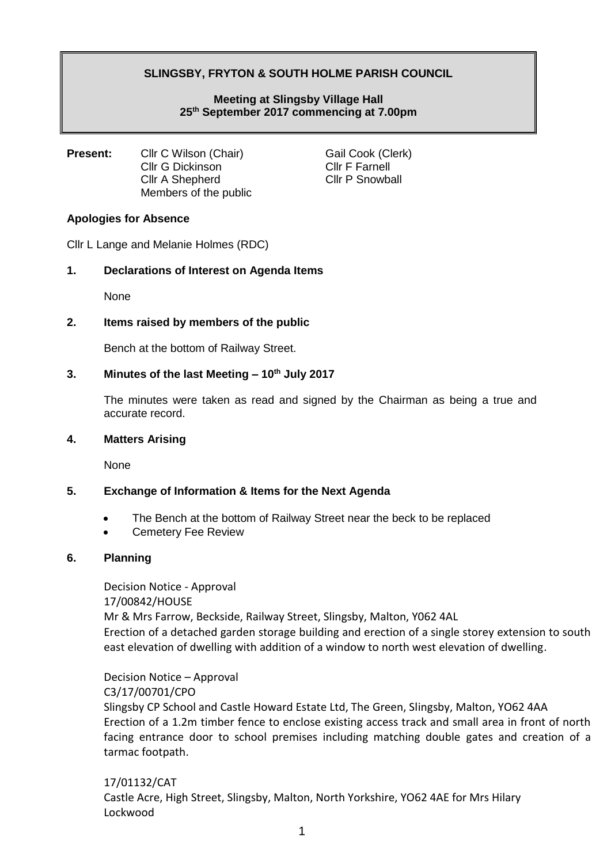# **SLINGSBY, FRYTON & SOUTH HOLME PARISH COUNCIL**

## **Meeting at Slingsby Village Hall 25th September 2017 commencing at 7.00pm**

**Present:** Cllr C Wilson (Chair) Gail Cook (Clerk) Cllr G Dickinson Cllr F Farnell Cllr A Shepherd Cllr P Snowball Members of the public

### **Apologies for Absence**

Cllr L Lange and Melanie Holmes (RDC)

### **1. Declarations of Interest on Agenda Items**

None

### **2. Items raised by members of the public**

Bench at the bottom of Railway Street.

### **3. Minutes of the last Meeting – 10th July 2017**

The minutes were taken as read and signed by the Chairman as being a true and accurate record.

#### **4. Matters Arising**

None

### **5. Exchange of Information & Items for the Next Agenda**

- The Bench at the bottom of Railway Street near the beck to be replaced
- Cemetery Fee Review

### **6. Planning**

Decision Notice - Approval 17/00842/HOUSE Mr & Mrs Farrow, Beckside, Railway Street, Slingsby, Malton, Y062 4AL Erection of a detached garden storage building and erection of a single storey extension to south east elevation of dwelling with addition of a window to north west elevation of dwelling.

Decision Notice – Approval C3/17/00701/CPO Slingsby CP School and Castle Howard Estate Ltd, The Green, Slingsby, Malton, YO62 4AA Erection of a 1.2m timber fence to enclose existing access track and small area in front of north facing entrance door to school premises including matching double gates and creation of a tarmac footpath.

## 17/01132/CAT Castle Acre, High Street, Slingsby, Malton, North Yorkshire, YO62 4AE for Mrs Hilary Lockwood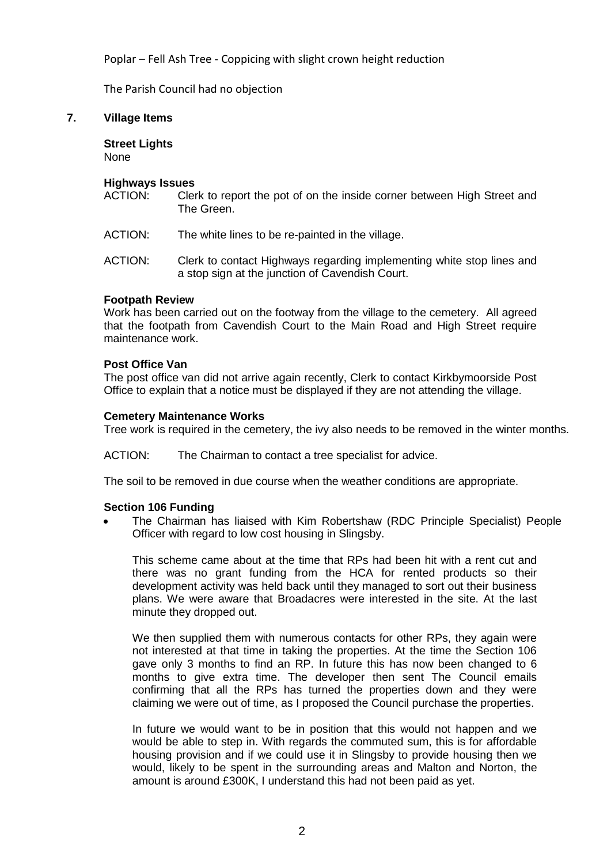Poplar – Fell Ash Tree - Coppicing with slight crown height reduction

The Parish Council had no objection

### **7. Village Items**

**Street Lights** None

#### **Highways Issues**

ACTION: Clerk to report the pot of on the inside corner between High Street and The Green.

ACTION: The white lines to be re-painted in the village.

ACTION: Clerk to contact Highways regarding implementing white stop lines and a stop sign at the junction of Cavendish Court.

#### **Footpath Review**

Work has been carried out on the footway from the village to the cemetery. All agreed that the footpath from Cavendish Court to the Main Road and High Street require maintenance work.

#### **Post Office Van**

The post office van did not arrive again recently, Clerk to contact Kirkbymoorside Post Office to explain that a notice must be displayed if they are not attending the village.

#### **Cemetery Maintenance Works**

Tree work is required in the cemetery, the ivy also needs to be removed in the winter months.

ACTION: The Chairman to contact a tree specialist for advice.

The soil to be removed in due course when the weather conditions are appropriate.

#### **Section 106 Funding**

• The Chairman has liaised with Kim Robertshaw (RDC Principle Specialist) People Officer with regard to low cost housing in Slingsby.

This scheme came about at the time that RPs had been hit with a rent cut and there was no grant funding from the HCA for rented products so their development activity was held back until they managed to sort out their business plans. We were aware that Broadacres were interested in the site. At the last minute they dropped out.

We then supplied them with numerous contacts for other RPs, they again were not interested at that time in taking the properties. At the time the Section 106 gave only 3 months to find an RP. In future this has now been changed to 6 months to give extra time. The developer then sent The Council emails confirming that all the RPs has turned the properties down and they were claiming we were out of time, as I proposed the Council purchase the properties.

In future we would want to be in position that this would not happen and we would be able to step in. With regards the commuted sum, this is for affordable housing provision and if we could use it in Slingsby to provide housing then we would, likely to be spent in the surrounding areas and Malton and Norton, the amount is around £300K, I understand this had not been paid as yet.